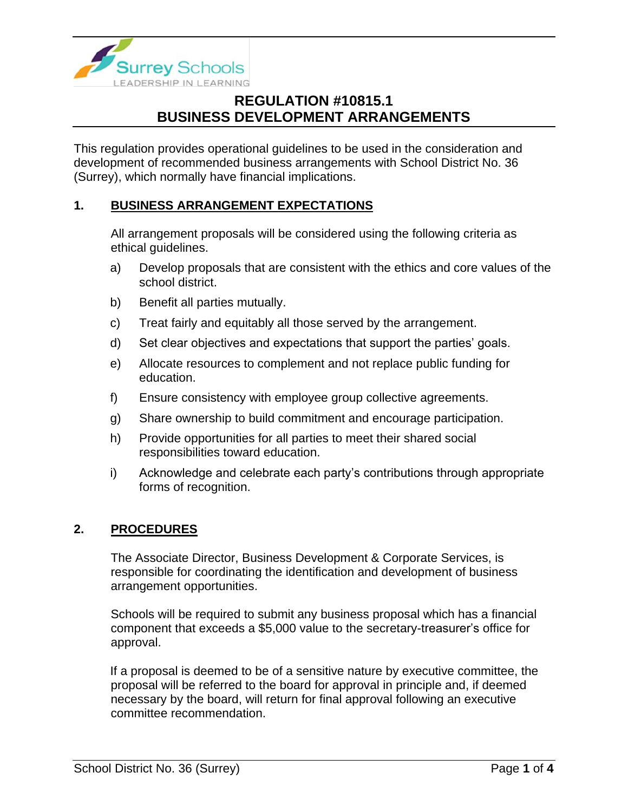

This regulation provides operational guidelines to be used in the consideration and development of recommended business arrangements with School District No. 36 (Surrey), which normally have financial implications.

### **1. BUSINESS ARRANGEMENT EXPECTATIONS**

All arrangement proposals will be considered using the following criteria as ethical guidelines.

- a) Develop proposals that are consistent with the ethics and core values of the school district.
- b) Benefit all parties mutually.
- c) Treat fairly and equitably all those served by the arrangement.
- d) Set clear objectives and expectations that support the parties' goals.
- e) Allocate resources to complement and not replace public funding for education.
- f) Ensure consistency with employee group collective agreements.
- g) Share ownership to build commitment and encourage participation.
- h) Provide opportunities for all parties to meet their shared social responsibilities toward education.
- i) Acknowledge and celebrate each party's contributions through appropriate forms of recognition.

### **2. PROCEDURES**

The Associate Director, Business Development & Corporate Services, is responsible for coordinating the identification and development of business arrangement opportunities.

Schools will be required to submit any business proposal which has a financial component that exceeds a \$5,000 value to the secretary-treasurer's office for approval.

If a proposal is deemed to be of a sensitive nature by executive committee, the proposal will be referred to the board for approval in principle and, if deemed necessary by the board, will return for final approval following an executive committee recommendation.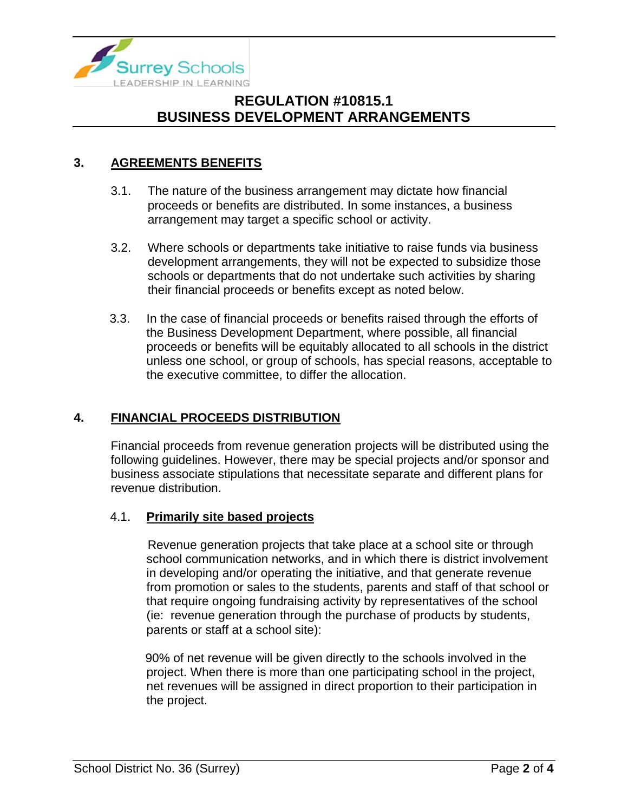

### **3. AGREEMENTS BENEFITS**

- 3.1. The nature of the business arrangement may dictate how financial proceeds or benefits are distributed. In some instances, a business arrangement may target a specific school or activity.
- 3.2. Where schools or departments take initiative to raise funds via business development arrangements, they will not be expected to subsidize those schools or departments that do not undertake such activities by sharing their financial proceeds or benefits except as noted below.
- 3.3. In the case of financial proceeds or benefits raised through the efforts of the Business Development Department, where possible, all financial proceeds or benefits will be equitably allocated to all schools in the district unless one school, or group of schools, has special reasons, acceptable to the executive committee, to differ the allocation.

### **4. FINANCIAL PROCEEDS DISTRIBUTION**

Financial proceeds from revenue generation projects will be distributed using the following guidelines. However, there may be special projects and/or sponsor and business associate stipulations that necessitate separate and different plans for revenue distribution.

#### 4.1. **Primarily site based projects**

Revenue generation projects that take place at a school site or through school communication networks, and in which there is district involvement in developing and/or operating the initiative, and that generate revenue from promotion or sales to the students, parents and staff of that school or that require ongoing fundraising activity by representatives of the school (ie: revenue generation through the purchase of products by students, parents or staff at a school site):

90% of net revenue will be given directly to the schools involved in the project. When there is more than one participating school in the project, net revenues will be assigned in direct proportion to their participation in the project.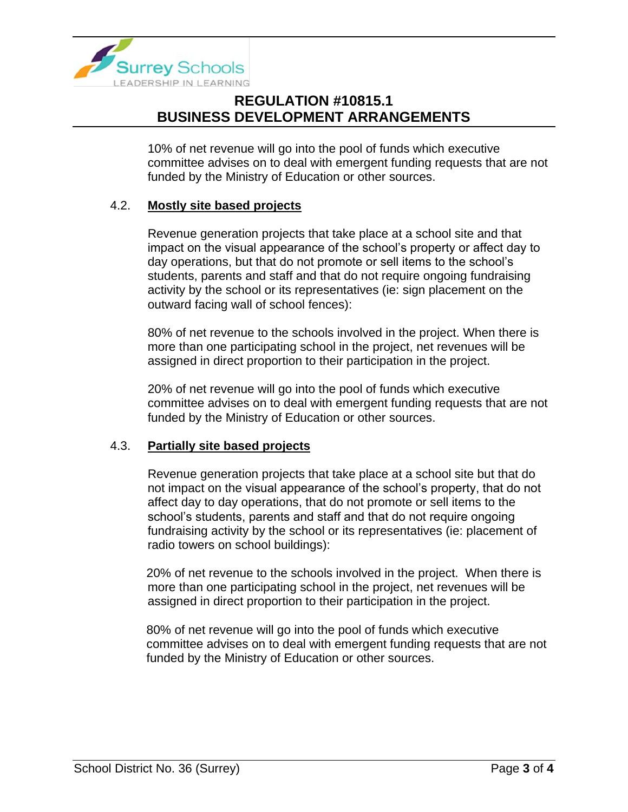

10% of net revenue will go into the pool of funds which executive committee advises on to deal with emergent funding requests that are not funded by the Ministry of Education or other sources.

#### 4.2. **Mostly site based projects**

Revenue generation projects that take place at a school site and that impact on the visual appearance of the school's property or affect day to day operations, but that do not promote or sell items to the school's students, parents and staff and that do not require ongoing fundraising activity by the school or its representatives (ie: sign placement on the outward facing wall of school fences):

80% of net revenue to the schools involved in the project. When there is more than one participating school in the project, net revenues will be assigned in direct proportion to their participation in the project.

20% of net revenue will go into the pool of funds which executive committee advises on to deal with emergent funding requests that are not funded by the Ministry of Education or other sources.

#### 4.3. **Partially site based projects**

Revenue generation projects that take place at a school site but that do not impact on the visual appearance of the school's property, that do not affect day to day operations, that do not promote or sell items to the school's students, parents and staff and that do not require ongoing fundraising activity by the school or its representatives (ie: placement of radio towers on school buildings):

20% of net revenue to the schools involved in the project. When there is more than one participating school in the project, net revenues will be assigned in direct proportion to their participation in the project.

80% of net revenue will go into the pool of funds which executive committee advises on to deal with emergent funding requests that are not funded by the Ministry of Education or other sources.